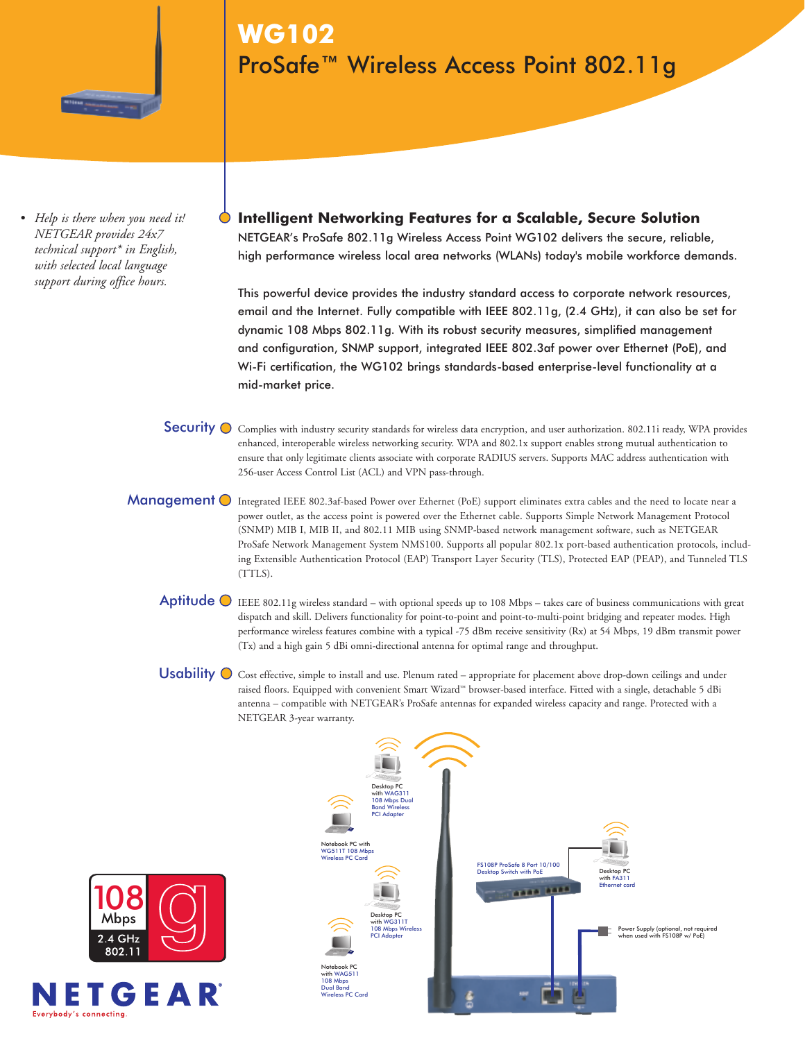

*• Help is there when you need it! NETGEAR provides 24x7 technical support\* in English, with selected local language support during office hours.*

**WG102** ProSafe™ Wireless Access Point 802.11g

**Intelligent Networking Features for a Scalable, Secure Solution** NETGEAR's ProSafe 802.11g Wireless Access Point WG102 delivers the secure, reliable, high performance wireless local area networks (WLANs) today's mobile workforce demands.

This powerful device provides the industry standard access to corporate network resources, email and the Internet. Fully compatible with IEEE 802.11g, (2.4 GHz), it can also be set for dynamic 108 Mbps 802.11g. With its robust security measures, simplified management and configuration, SNMP support, integrated IEEE 802.3af power over Ethernet (PoE), and Wi-Fi certification, the WG102 brings standards-based enterprise-level functionality at a mid-market price.

Security  $\bigcirc$  Complies with industry security standards for wireless data encryption, and user authorization. 802.11i ready, WPA provides enhanced, interoperable wireless networking security. WPA and 802.1x support enables strong mutual authentication to ensure that only legitimate clients associate with corporate RADIUS servers. Supports MAC address authentication with 256-user Access Control List (ACL) and VPN pass-through.

Management **O** Integrated IEEE 802.3af-based Power over Ethernet (PoE) support eliminates extra cables and the need to locate near a power outlet, as the access point is powered over the Ethernet cable. Supports Simple Network Management Protocol (SNMP) MIB I, MIB II, and 802.11 MIB using SNMP-based network management software, such as NETGEAR ProSafe Network Management System NMS100. Supports all popular 802.1x port-based authentication protocols, including Extensible Authentication Protocol (EAP) Transport Layer Security (TLS), Protected EAP (PEAP), and Tunneled TLS (TTLS).

Aptitude  $\odot$  IEEE 802.11g wireless standard – with optional speeds up to 108 Mbps – takes care of business communications with great dispatch and skill. Delivers functionality for point-to-point and point-to-multi-point bridging and repeater modes. High performance wireless features combine with a typical -75 dBm receive sensitivity (Rx) at 54 Mbps, 19 dBm transmit power (Tx) and a high gain 5 dBi omni-directional antenna for optimal range and throughput.

Usability  $\bigcirc$  Cost effective, simple to install and use. Plenum rated – appropriate for placement above drop-down ceilings and under raised floors. Equipped with convenient Smart Wizard™ browser-based interface. Fitted with a single, detachable 5 dBi antenna – compatible with NETGEAR's ProSafe antennas for expanded wireless capacity and range. Protected with a NETGEAR 3-year warranty.